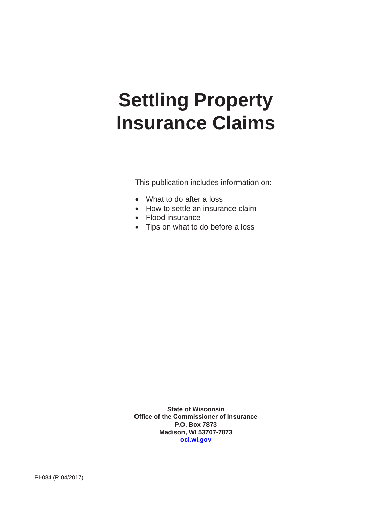# **Settling Property Insurance Claims**

This publication includes information on:

- What to do after a loss
- How to settle an insurance claim
- Flood insurance
- Tips on what to do before a loss

**State of Wisconsin Office of the Commissioner of Insurance P.O. Box 7873 Madison, WI 53707-7873 [oci.wi.gov](https://oci.wi.gov/Pages/Homepage.aspx)**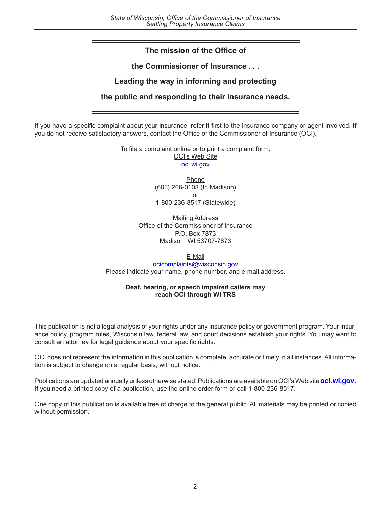# **The mission of the Office of**

# **the Commissioner of Insurance . . .**

# **Leading the way in informing and protecting**

# **the public and responding to their insurance needs.**

If you have a specific complaint about your insurance, refer it first to the insurance company or agent involved. If you do not receive satisfactory answers, contact the Office of the Commissioner of Insurance (OCI).

> To file a complaint online or to print a complaint form: OCI's Web Site [oci.wi.gov](https://oci.wi.gov/Pages/Homepage.aspx)

> > **Phone** (608) 266-0103 (In Madison) or 1-800-236-8517 (Statewide)

Mailing Address Office of the Commissioner of Insurance P.O. Box 7873 Madison, WI 53707-7873

# E-Mail

[ocicomplaints@wisconsin.gov](mailto:ocicomplaints@wisconsin.gov) Please indicate your name, phone number, and e-mail address.

#### **Deaf, hearing, or speech impaired callers may reach OCI through WI TRS**

This publication is not a legal analysis of your rights under any insurance policy or government program. Your insurance policy, program rules, Wisconsin law, federal law, and court decisions establish your rights. You may want to consult an attorney for legal guidance about your specific rights.

OCI does not represent the information in this publication is complete, accurate or timely in all instances. All information is subject to change on a regular basis, without notice.

Publications are updated annually unless otherwise stated. Publications are available on OCI's Web site **[oci.wi.gov](https://oci.wi.gov/Pages/Homepage.aspx)**. If you need a printed copy of a publication, use the online order form or call 1-800-236-8517.

One copy of this publication is available free of charge to the general public. All materials may be printed or copied without permission.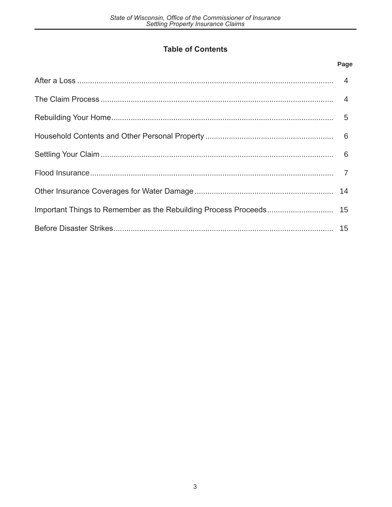# **Table of Contents**

# Page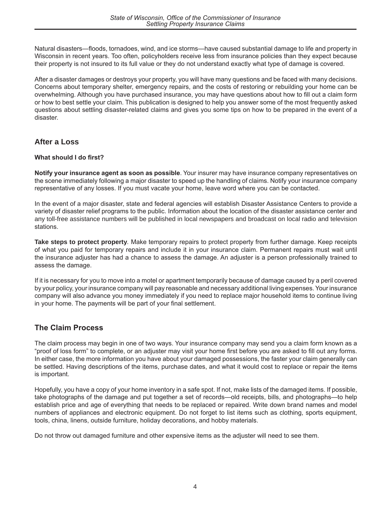Natural disasters—floods, tornadoes, wind, and ice storms—have caused substantial damage to life and property in Wisconsin in recent years. Too often, policyholders receive less from insurance policies than they expect because their property is not insured to its full value or they do not understand exactly what type of damage is covered.

After a disaster damages or destroys your property, you will have many questions and be faced with many decisions. Concerns about temporary shelter, emergency repairs, and the costs of restoring or rebuilding your home can be overwhelming. Although you have purchased insurance, you may have questions about how to fill out a claim form or how to best settle your claim. This publication is designed to help you answer some of the most frequently asked questions about settling disaster-related claims and gives you some tips on how to be prepared in the event of a disaster.

# **After a Loss**

# **What should I do first?**

**Notify your insurance agent as soon as possible**. Your insurer may have insurance company representatives on the scene immediately following a major disaster to speed up the handling of claims. Notify your insurance company representative of any losses. If you must vacate your home, leave word where you can be contacted.

In the event of a major disaster, state and federal agencies will establish Disaster Assistance Centers to provide a variety of disaster relief programs to the public. Information about the location of the disaster assistance center and any toll-free assistance numbers will be published in local newspapers and broadcast on local radio and television stations.

**Take steps to protect property***.* Make temporary repairs to protect property from further damage. Keep receipts of what you paid for temporary repairs and include it in your insurance claim. Permanent repairs must wait until the insurance adjuster has had a chance to assess the damage. An adjuster is a person professionally trained to assess the damage.

If it is necessary for you to move into a motel or apartment temporarily because of damage caused by a peril covered by your policy, your insurance company will pay reasonable and necessary additional living expenses. Your insurance company will also advance you money immediately if you need to replace major household items to continue living in your home. The payments will be part of your final settlement.

# **The Claim Process**

The claim process may begin in one of two ways. Your insurance company may send you a claim form known as a "proof of loss form" to complete, or an adjuster may visit your home first before you are asked to fill out any forms. In either case, the more information you have about your damaged possessions, the faster your claim generally can be settled. Having descriptions of the items, purchase dates, and what it would cost to replace or repair the items is important.

Hopefully, you have a copy of your home inventory in a safe spot. If not, make lists of the damaged items. If possible, take photographs of the damage and put together a set of records—old receipts, bills, and photographs—to help establish price and age of everything that needs to be replaced or repaired. Write down brand names and model numbers of appliances and electronic equipment. Do not forget to list items such as clothing, sports equipment, tools, china, linens, outside furniture, holiday decorations, and hobby materials.

Do not throw out damaged furniture and other expensive items as the adjuster will need to see them.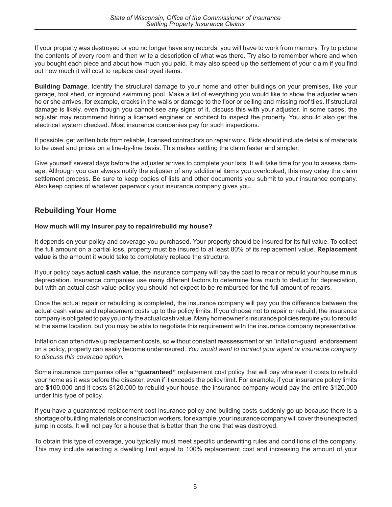If your property was destroyed or you no longer have any records, you will have to work from memory. Try to picture the contents of every room and then write a description of what was there. Try also to remember where and when you bought each piece and about how much you paid. It may also speed up the settlement of your claim if you find out how much it will cost to replace destroyed items.

**Building Damage**. Identify the structural damage to your home and other buildings on your premises, like your garage, tool shed, or inground swimming pool. Make a list of everything you would like to show the adjuster when he or she arrives, for example, cracks in the walls or damage to the floor or ceiling and missing roof tiles. If structural damage is likely, even though you cannot see any signs of it, discuss this with your adjuster. In some cases, the adjuster may recommend hiring a licensed engineer or architect to inspect the property. You should also get the electrical system checked. Most insurance companies pay for such inspections.

If possible, get written bids from reliable, licensed contractors on repair work. Bids should include details of materials to be used and prices on a line-by-line basis. This makes settling the claim faster and simpler.

Give yourself several days before the adjuster arrives to complete your lists. It will take time for you to assess damage. Although you can always notify the adjuster of any additional items you overlooked, this may delay the claim settlement process. Be sure to keep copies of lists and other documents you submit to your insurance company. Also keep copies of whatever paperwork your insurance company gives you.

# **Rebuilding Your Home**

# **How much will my insurer pay to repair/rebuild my house?**

It depends on your policy and coverage you purchased. Your property should be insured for its full value. To collect the full amount on a partial loss, property must be insured to at least 80% of its replacement value. **Replacement value** is the amount it would take to completely replace the structure.

If your policy pays **actual cash value**, the insurance company will pay the cost to repair or rebuild your house minus depreciation. Insurance companies use many different factors to determine how much to deduct for depreciation, but with an actual cash value policy you should not expect to be reimbursed for the full amount of repairs.

Once the actual repair or rebuilding is completed, the insurance company will pay you the difference between the actual cash value and replacement costs up to the policy limits. If you choose not to repair or rebuild, the insurance company is obligated to pay you only the actual cash value. Many homeowner's insurance policies require you to rebuild at the same location, but you may be able to negotiate this requirement with the insurance company representative.

Inflation can often drive up replacement costs, so without constant reassessment or an "inflation-guard" endorsement on a policy, property can easily become underinsured. *You would want to contact your agent or insurance company to discuss this coverage option.*

Some insurance companies offer a **"guaranteed"** replacement cost policy that will pay whatever it costs to rebuild your home as it was before the disaster, even if it exceeds the policy limit. For example, if your insurance policy limits are \$100,000 and it costs \$120,000 to rebuild your house, the insurance company would pay the entire \$120,000 under this type of policy.

If you have a guaranteed replacement cost insurance policy and building costs suddenly go up because there is a shortage of building materials or construction workers, for example, your insurance company will cover the unexpected jump in costs. It will not pay for a house that is better than the one that was destroyed.

To obtain this type of coverage, you typically must meet specific underwriting rules and conditions of the company. This may include selecting a dwelling limit equal to 100% replacement cost and increasing the amount of your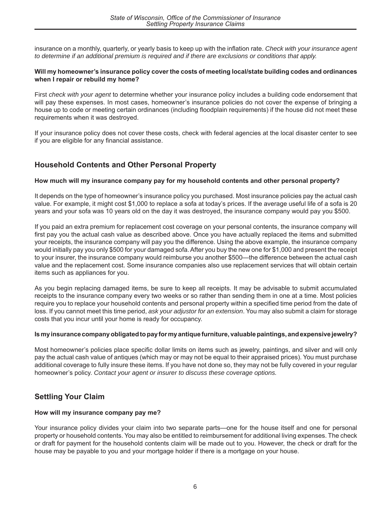insurance on a monthly, quarterly, or yearly basis to keep up with the inflation rate. *Check with your insurance agent to determine if an additional premium is required and if there are exclusions or conditions that apply.*

#### **Will my homeowner's insurance policy cover the costs of meeting local/state building codes and ordinances when I repair or rebuild my home?**

First *check with your agent* to determine whether your insurance policy includes a building code endorsement that will pay these expenses. In most cases, homeowner's insurance policies do not cover the expense of bringing a house up to code or meeting certain ordinances (including floodplain requirements) if the house did not meet these requirements when it was destroyed.

If your insurance policy does not cover these costs, check with federal agencies at the local disaster center to see if you are eligible for any financial assistance.

# **Household Contents and Other Personal Property**

# **How much will my insurance company pay for my household contents and other personal property?**

It depends on the type of homeowner's insurance policy you purchased. Most insurance policies pay the actual cash value. For example, it might cost \$1,000 to replace a sofa at today's prices. If the average useful life of a sofa is 20 years and your sofa was 10 years old on the day it was destroyed, the insurance company would pay you \$500.

If you paid an extra premium for replacement cost coverage on your personal contents, the insurance company will first pay you the actual cash value as described above. Once you have actually replaced the items and submitted your receipts, the insurance company will pay you the difference. Using the above example, the insurance company would initially pay you only \$500 for your damaged sofa. After you buy the new one for \$1,000 and present the receipt to your insurer, the insurance company would reimburse you another \$500—the difference between the actual cash value and the replacement cost. Some insurance companies also use replacement services that will obtain certain items such as appliances for you.

As you begin replacing damaged items, be sure to keep all receipts. It may be advisable to submit accumulated receipts to the insurance company every two weeks or so rather than sending them in one at a time. Most policies require you to replace your household contents and personal property within a specified time period from the date of loss. If you cannot meet this time period, *ask your adjustor for an extension*. You may also submit a claim for storage costs that you incur until your home is ready for occupancy.

# **Is my insurance company obligated to pay for my antique furniture, valuable paintings, and expensive jewelry?**

Most homeowner's policies place specific dollar limits on items such as jewelry, paintings, and silver and will only pay the actual cash value of antiques (which may or may not be equal to their appraised prices). You must purchase additional coverage to fully insure these items. If you have not done so, they may not be fully covered in your regular homeowner's policy. *Contact your agent or insurer to discuss these coverage options.*

# **Settling Your Claim**

# **How will my insurance company pay me?**

Your insurance policy divides your claim into two separate parts—one for the house itself and one for personal property or household contents. You may also be entitled to reimbursement for additional living expenses. The check or draft for payment for the household contents claim will be made out to you. However, the check or draft for the house may be payable to you and your mortgage holder if there is a mortgage on your house.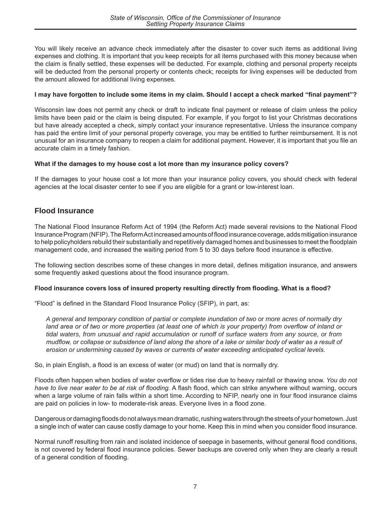You will likely receive an advance check immediately after the disaster to cover such items as additional living expenses and clothing. It is important that you keep receipts for all items purchased with this money because when the claim is finally settled, these expenses will be deducted. For example, clothing and personal property receipts will be deducted from the personal property or contents check; receipts for living expenses will be deducted from the amount allowed for additional living expenses.

# **I may have forgotten to include some items in my claim. Should I accept a check marked "final payment"?**

Wisconsin law does not permit any check or draft to indicate final payment or release of claim unless the policy limits have been paid or the claim is being disputed. For example, if you forgot to list your Christmas decorations but have already accepted a check, simply contact your insurance representative. Unless the insurance company has paid the entire limit of your personal property coverage, you may be entitled to further reimbursement. It is not unusual for an insurance company to reopen a claim for additional payment. However, it is important that you file an accurate claim in a timely fashion.

# **What if the damages to my house cost a lot more than my insurance policy covers?**

If the damages to your house cost a lot more than your insurance policy covers, you should check with federal agencies at the local disaster center to see if you are eligible for a grant or low-interest loan.

# **Flood Insurance**

The National Flood Insurance Reform Act of 1994 (the Reform Act) made several revisions to the National Flood Insurance Program (NFIP). The Reform Act increased amounts of flood insurance coverage, adds mitigation insurance to help policyholders rebuild their substantially and repetitively damaged homes and businesses to meet the floodplain management code, and increased the waiting period from 5 to 30 days before flood insurance is effective.

The following section describes some of these changes in more detail, defines mitigation insurance, and answers some frequently asked questions about the flood insurance program.

# **Flood insurance covers loss of insured property resulting directly from flooding. What is a flood?**

"Flood" is defined in the Standard Flood Insurance Policy (SFIP), in part, as:

*A general and temporary condition of partial or complete inundation of two or more acres of normally dry land area or of two or more properties (at least one of which is your property) from overflow of inland or tidal waters, from unusual and rapid accumulation or runoff of surface waters from any source, or from mudflow, or collapse or subsidence of land along the shore of a lake or similar body of water as a result of erosion or undermining caused by waves or currents of water exceeding anticipated cyclical levels.*

So, in plain English, a flood is an excess of water (or mud) on land that is normally dry.

Floods often happen when bodies of water overflow or tides rise due to heavy rainfall or thawing snow. *You do not have to live near water to be at risk of flooding.* A flash flood, which can strike anywhere without warning, occurs when a large volume of rain falls within a short time. According to NFIP, nearly one in four flood insurance claims are paid on policies in low- to moderate-risk areas. Everyone lives in a flood zone.

Dangerous or damaging floods do not always mean dramatic, rushing waters through the streets of your hometown. Just a single inch of water can cause costly damage to your home. Keep this in mind when you consider flood insurance.

Normal runoff resulting from rain and isolated incidence of seepage in basements, without general flood conditions, is not covered by federal flood insurance policies. Sewer backups are covered only when they are clearly a result of a general condition of flooding.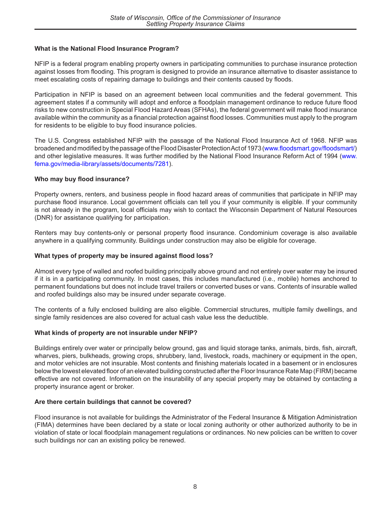# **What is the National Flood Insurance Program?**

NFIP is a federal program enabling property owners in participating communities to purchase insurance protection against losses from flooding. This program is designed to provide an insurance alternative to disaster assistance to meet escalating costs of repairing damage to buildings and their contents caused by floods.

Participation in NFIP is based on an agreement between local communities and the federal government. This agreement states if a community will adopt and enforce a floodplain management ordinance to reduce future flood risks to new construction in Special Flood Hazard Areas (SFHAs), the federal government will make flood insurance available within the community as a financial protection against flood losses. Communities must apply to the program for residents to be eligible to buy flood insurance policies.

The U.S. Congress established NFIP with the passage of the National Flood Insurance Act of 1968. NFIP was broadened and modified by the passage of the Flood Disaster Protection Act of 1973 [\(www.floodsmart.gov/floodsmart/\)](https://www.floodsmart.gov/floodsmart/) and other legislative measures. It was further modified by the National Flood Insurance Reform Act of 1994 [\(www.](http://www.fema.gov/media-library/assets/documents/7281) [fema.gov/media-library/assets/documents/7281](http://www.fema.gov/media-library/assets/documents/7281)).

# **Who may buy flood insurance?**

Property owners, renters, and business people in flood hazard areas of communities that participate in NFIP may purchase flood insurance. Local government officials can tell you if your community is eligible. If your community is not already in the program, local officials may wish to contact the Wisconsin Department of Natural Resources (DNR) for assistance qualifying for participation.

Renters may buy contents-only or personal property flood insurance. Condominium coverage is also available anywhere in a qualifying community. Buildings under construction may also be eligible for coverage.

# **What types of property may be insured against flood loss?**

Almost every type of walled and roofed building principally above ground and not entirely over water may be insured if it is in a participating community. In most cases, this includes manufactured (i.e., mobile) homes anchored to permanent foundations but does not include travel trailers or converted buses or vans. Contents of insurable walled and roofed buildings also may be insured under separate coverage.

The contents of a fully enclosed building are also eligible. Commercial structures, multiple family dwellings, and single family residences are also covered for actual cash value less the deductible.

# **What kinds of property are not insurable under NFIP?**

Buildings entirely over water or principally below ground, gas and liquid storage tanks, animals, birds, fish, aircraft, wharves, piers, bulkheads, growing crops, shrubbery, land, livestock, roads, machinery or equipment in the open, and motor vehicles are not insurable. Most contents and finishing materials located in a basement or in enclosures below the lowest elevated floor of an elevated building constructed after the Floor Insurance Rate Map (FIRM) became effective are not covered. Information on the insurability of any special property may be obtained by contacting a property insurance agent or broker.

# **Are there certain buildings that cannot be covered?**

Flood insurance is not available for buildings the Administrator of the Federal Insurance & Mitigation Administration (FIMA) determines have been declared by a state or local zoning authority or other authorized authority to be in violation of state or local floodplain management regulations or ordinances. No new policies can be written to cover such buildings nor can an existing policy be renewed.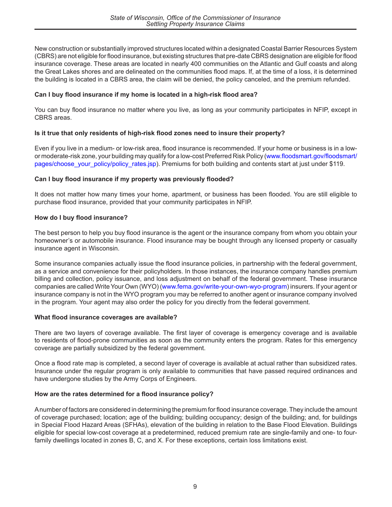New construction or substantially improved structures located within a designated Coastal Barrier Resources System (CBRS) are not eligible for flood insurance, but existing structures that pre-date CBRS designation are eligible for flood insurance coverage. These areas are located in nearly 400 communities on the Atlantic and Gulf coasts and along the Great Lakes shores and are delineated on the communities flood maps. If, at the time of a loss, it is determined the building is located in a CBRS area, the claim will be denied, the policy canceled, and the premium refunded.

# **Can I buy flood insurance if my home is located in a high-risk flood area?**

You can buy flood insurance no matter where you live, as long as your community participates in NFIP, except in CBRS areas.

# **Is it true that only residents of high-risk flood zones need to insure their property?**

Even if you live in a medium- or low-risk area, flood insurance is recommended. If your home or business is in a lowor moderate-risk zone, your building may qualify for a low-cost Preferred Risk Policy ([www.floodsmart.gov/floodsmart/](https://www.floodsmart.gov/floodsmarpages/choose_your_policy/policy_rates.jsp) [pages/choose\\_your\\_policy/policy\\_rates.jsp\)](https://www.floodsmart.gov/floodsmarpages/choose_your_policy/policy_rates.jsp). Premiums for both building and contents start at just under \$119.

# **Can I buy flood insurance if my property was previously flooded?**

It does not matter how many times your home, apartment, or business has been flooded. You are still eligible to purchase flood insurance, provided that your community participates in NFIP.

# **How do I buy flood insurance?**

The best person to help you buy flood insurance is the agent or the insurance company from whom you obtain your homeowner's or automobile insurance. Flood insurance may be bought through any licensed property or casualty insurance agent in Wisconsin.

Some insurance companies actually issue the flood insurance policies, in partnership with the federal government, as a service and convenience for their policyholders. In those instances, the insurance company handles premium billing and collection, policy issuance, and loss adjustment on behalf of the federal government. These insurance companies are called Write Your Own (WYO) [\(www.fema.gov/write-your-own-wyo-program\)](https://www.fema.gov/write-your-own-wyo-program) insurers. If your agent or insurance company is not in the WYO program you may be referred to another agent or insurance company involved in the program. Your agent may also order the policy for you directly from the federal government.

# **What flood insurance coverages are available?**

There are two layers of coverage available. The first layer of coverage is emergency coverage and is available to residents of flood-prone communities as soon as the community enters the program. Rates for this emergency coverage are partially subsidized by the federal government.

Once a flood rate map is completed, a second layer of coverage is available at actual rather than subsidized rates. Insurance under the regular program is only available to communities that have passed required ordinances and have undergone studies by the Army Corps of Engineers.

# **How are the rates determined for a flood insurance policy?**

A number of factors are considered in determining the premium for flood insurance coverage. They include the amount of coverage purchased; location; age of the building; building occupancy; design of the building; and, for buildings in Special Flood Hazard Areas (SFHAs), elevation of the building in relation to the Base Flood Elevation. Buildings eligible for special low-cost coverage at a predetermined, reduced premium rate are single-family and one- to fourfamily dwellings located in zones B, C, and X. For these exceptions, certain loss limitations exist.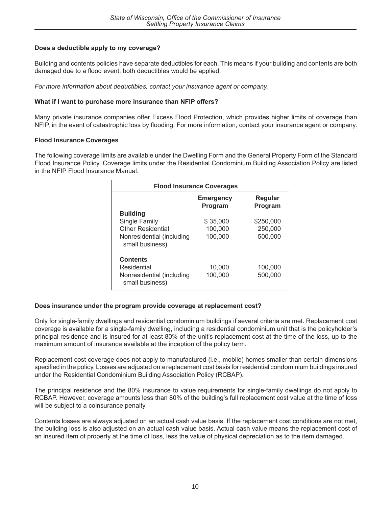# **Does a deductible apply to my coverage?**

Building and contents policies have separate deductibles for each. This means if your building and contents are both damaged due to a flood event, both deductibles would be applied.

*For more information about deductibles, contact your insurance agent or company.*

# **What if I want to purchase more insurance than NFIP offers?**

Many private insurance companies offer Excess Flood Protection, which provides higher limits of coverage than NFIP, in the event of catastrophic loss by flooding. For more information, contact your insurance agent or company.

# **Flood Insurance Coverages**

The following coverage limits are available under the Dwelling Form and the General Property Form of the Standard Flood Insurance Policy. Coverage limits under the Residential Condominium Building Association Policy are listed in the NFIP Flood Insurance Manual.

| <b>Flood Insurance Coverages</b>             |                             |                    |
|----------------------------------------------|-----------------------------|--------------------|
|                                              | <b>Emergency</b><br>Program | Regular<br>Program |
| <b>Building</b>                              |                             |                    |
| Single Family                                | \$35,000                    | \$250,000          |
| <b>Other Residential</b>                     | 100,000                     | 250,000            |
| Nonresidential (including<br>small business) | 100,000                     | 500,000            |
| <b>Contents</b>                              |                             |                    |
| Residential                                  | 10,000                      | 100,000            |
| Nonresidential (including<br>small business) | 100,000                     | 500,000            |

# **Does insurance under the program provide coverage at replacement cost?**

[Only for single-family dwellings and residential condomi](http://www.fema.gov/national-flood-insurance-program/standard-flood-insurance-policy-forms)nium buildings if several criteria are met. Replacement cost coverage is available for a single-family dwelling, including a residential condominium unit that is the policyholder's principal residence and is insured for at least 80% of the unit's replacement cost at the time of the loss, up to the maximum amount of insurance available at the inception of the policy term.

Replacement cost coverage does not apply to manufactured (i.e., mobile) homes smaller than certain dimensions specified in the policy. Losses are adjusted on a replacement cost basis for residential condominium buildings insured under the Residential Condominium Building Association Policy (RCBAP).

The principal residence and the 80% insurance to value requirements for single-family dwellings do not apply to RCBAP. However, coverage amounts less than 80% of the building's full replacement cost value at the time of loss will be subject to a coinsurance penalty.

Contents losses are always adjusted on an actual cash value basis. If the replacement cost conditions are not met, the building loss is also adjusted on an actual cash value basis. Actual cash value means the replacement cost of an insured item of property at the time of loss, less the value of physical depreciation as to the item damaged.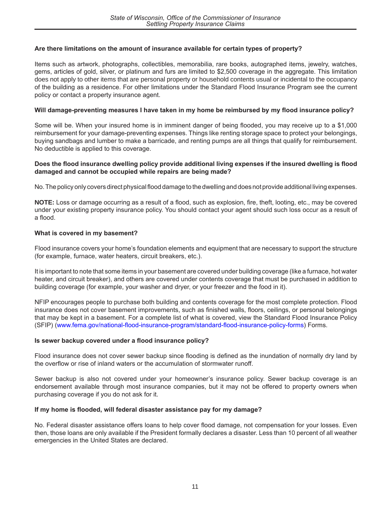# **Are there limitations on the amount of insurance available for certain types of property?**

Items such as artwork, photographs, collectibles, memorabilia, rare books, autographed items, jewelry, watches, gems, articles of gold, silver, or platinum and furs are limited to \$2,500 coverage in the aggregate. This limitation does not apply to other items that are personal property or household contents usual or incidental to the occupancy of the building as a residence. For other limitations under the Standard Flood Insurance Program see the current policy or contact a property insurance agent.

# **Will damage-preventing measures I have taken in my home be reimbursed by my flood insurance policy?**

Some will be. When your insured home is in imminent danger of being flooded, you may receive up to a \$1,000 reimbursement for your damage-preventing expenses. Things like renting storage space to protect your belongings, buying sandbags and lumber to make a barricade, and renting pumps are all things that qualify for reimbursement. No deductible is applied to this coverage.

# **Does the flood insurance dwelling policy provide additional living expenses if the insured dwelling is flood damaged and cannot be occupied while repairs are being made?**

No. The policy only covers direct physical flood damage to the dwelling and does not provide additional living expenses.

**NOTE:** Loss or damage occurring as a result of a flood, such as explosion, fire, theft, looting, etc., may be covered under your existing property insurance policy. You should contact your agent should such loss occur as a result of a flood.

# **What is covered in my basement?**

Flood insurance covers your home's foundation elements and equipment that are necessary to support the structure (for example, furnace, water heaters, circuit breakers, etc.).

It is important to note that some items in your basement are covered under building coverage (like a furnace, hot water heater, and circuit breaker), and others are covered under contents coverage that must be purchased in addition to building coverage (for example, your washer and dryer, or your freezer and the food in it).

NFIP encourages people to purchase both building and contents coverage for the most complete protection. Flood insurance does not cover basement improvements, such as finished walls, floors, ceilings, or personal belongings that may be kept in a basement. For a complete list of what is covered, view the Standard Flood Insurance Policy (SFIP) [\(www.fema.gov/national-flood-insurance-program/standard-flood-insurance-policy-forms](https://www.fema.gov/national-flood-insurance-program/standard-flood-insurance-policy-forms)) Forms.

# **Is sewer backup covered under a flood insurance policy?**

Flood insurance does not cover sewer backup since flooding is defined as the inundation of normally dry land by the overflow or rise of inland waters or the accumulation of stormwater runoff.

Sewer backup is also not covered under your homeowner's insurance policy. Sewer backup coverage is an endorsement available through most insurance companies, but it may not be offered to property owners when purchasing coverage if you do not ask for it.

# **If my home is flooded, will federal disaster assistance pay for my damage?**

No. Federal disaster assistance offers loans to help cover flood damage, not compensation for your losses. Even then, those loans are only available if the President formally declares a disaster. Less than 10 percent of all weather emergencies in the United States are declared.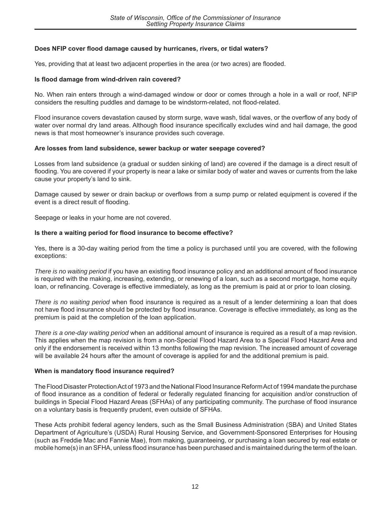# **Does NFIP cover flood damage caused by hurricanes, rivers, or tidal waters?**

Yes, providing that at least two adjacent properties in the area (or two acres) are flooded.

#### **Is flood damage from wind-driven rain covered?**

No. When rain ent[ers through a wi](http://www.fema.gov)nd-damaged window or door or comes through a hole in a wall or roof, NFIP considers the resulting puddles and damage to be windstorm-related, not flood-related.

Flood insurance covers devastation caused by storm surge, wave wash, tidal waves, or the overflow of any body of water over normal dry land areas. Although flood insurance specifically excludes wind and hail damage, the good news is that most homeowner's insurance provides such coverage.

#### **Are losses from land subsidence, sewer backup or water seepage covered?**

Losses from land subsidence (a gradual or sudden sinking of land) are covered if the damage is a direct result of flooding. You are covered if your property is near a lake or similar body of water and waves or currents from the lake cause your property's land to sink.

Damage caused by sewer or drain backup or overflows from a sump pump or related equipment is covered if the event is a direct result of flooding.

Seepage or leaks in your home are not covered.

#### **Is there a waiting period for flood insurance to become effective?**

Yes, there is a 30-day waiting period from the time a policy is purchased until you are covered, with the following exceptions:

*There is no waiting period* if you have an existing flood insurance policy and an additional amount of flood insurance is required with the making, increasing, extending, or renewing of a loan, such as a second mortgage, home equity loan, or refinancing. Coverage is effective immediately, as long as the premium is paid at or prior to loan closing.

*There is no waiting period* when flood insurance is required as a result of a lender determining a loan that does not have flood insurance should be protected by flood insurance. Coverage is effective immediately, as long as the premium is paid at the completion of the loan application.

*There is a one-day waiting period* when an additional amount of insurance is required as a result of a map revision. This applies when the map revision is from a non-Special Flood Hazard Area to a Special Flood Hazard Area and only if the endorsement is received within 13 months following the map revision. The increased amount of coverage will be available 24 hours after the amount of coverage is applied for and the additional premium is paid.

#### **When is mandatory flood insurance required?**

The Flood Disaster Protection Act of 1973 and the National Flood Insurance Reform Act of 1994 mandate the purchase of flood insurance as a condition of federal or federally regulated financing for acquisition and/or construction of buildings in Special Flood Hazard Areas (SFHAs) of any participating community. The purchase of flood insurance on a voluntary basis is frequently prudent, even outside of SFHAs.

These Acts prohibit federal agency lenders, such as the Small Business Administration (SBA) and United States Department of Agriculture's (USDA) Rural Housing Service, and Government-Sponsored Enterprises for Housing (such as Freddie Mac and Fannie Mae), from making, guaranteeing, or purchasing a loan secured by real estate or mobile home(s) in an SFHA, unless flood insurance has been purchased and is maintained during the term of the loan.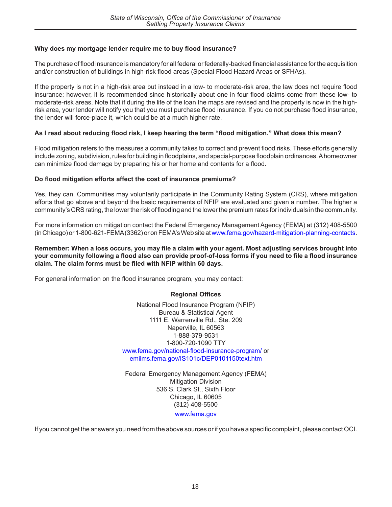## **Why does my mortgage lender require me to buy flood insurance?**

The purchase of flood insurance is mandatory for all federal or federally-backed financial assistance for the acquisition and/or construction of buildings in high-risk flood areas (Special Flood Hazard Areas or SFHAs).

If the property is not in a high-risk area but instead in a low- to moderate-risk area, the law does not require flood insurance; however, it is recommended since historically about one in four flood claims come from these low- to moderate-risk areas. Note that if during the life of the loan the maps are revised and the property is now in the highrisk area, your lender will notify you that you must purchase flood insurance. If you do not purchase flood insurance, the lender will force-place it, which could be at a much higher rate.

#### **As I read about reducing flood risk, I keep hearing the term "flood mitigation." What does this mean?**

Flood mitigation refers to the measures a community takes to correct and prevent flood risks. These efforts generally include zoning, subdivision, rules for building in floodplains, and special-purpose floodplain ordinances. A homeowner can minimize flood damage by preparing his or her home and contents for a flood.

#### **Do flood mitigation efforts affect the cost of insurance premiums?**

Yes, they can. Communities may voluntarily participate in the Community Rating System (CRS), where mitigation efforts that go above and beyond the basic requirements of NFIP are evaluated and given a number. The higher a community's CRS rating, the lower the risk of flooding and the lower the premium rates for individuals in the community.

For more information on mitigation contact the Federal Emergency Management Agency (FEMA) at (312) 408-5500 (in Chicago) or 1-800-621-FEMA (3362) or on FEMA's Web site at [www.fema.gov/hazard-mitigation-planning-contacts.](https://www.fema.gov/hazard-mitigation-planning-contacts)

#### **Remember: When a loss occurs, you may file a claim with your agent. Most adjusting services brought into your community following a flood also can provide proof-of-loss forms if you need to file a flood insurance claim. The claim forms must be filed with NFIP within 60 days.**

For general information on the flood insurance program, you may contact:

#### **Regional Offices**

National Flood Insurance Program (NFIP) Bureau & Statistical Agent 1111 E. Warrenville Rd., Ste. 209 Naperville, IL 60563 1-888-379-9531 1-800-720-1090 TTY [www.fema.gov/national-flood-insurance-program/](https://www.fema.gov/national-flood-insurance-program/) or [emilms.fema.gov/IS101c/DEP0101150text.htm](https://emilms.fema.gov/IS101c/DEP0101150text.htm)

Federal Emergency Management Agency (FEMA) Mitigation Division 536 S. Clark St., Sixth Floor Chicago, IL 60605 (312) 408-5500

[www.fema.gov](https://www.fema.gov/)

If you cannot get the answers you need from the above sources or if you have a specific complaint, please contact OCI.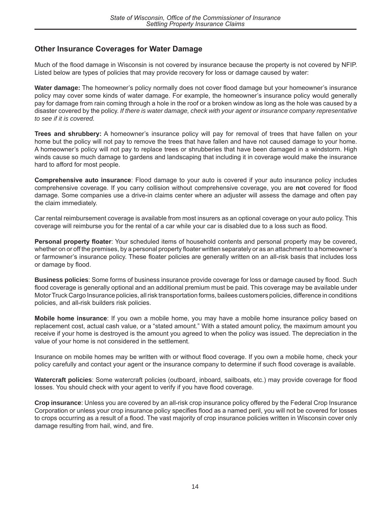# **Other Insurance Coverages for Water Damage**

Much of the flood damage in Wisconsin is not covered by insurance because the property is not covered by NFIP. Listed below are types of policies that may provide recovery for loss or damage caused by water:

**Water damage:** The homeowner's policy normally does not cover flood damage but your homeowner's insurance policy may cover some kinds of water damage. For example, the homeowner's insurance policy would generally pay for damage from rain coming through a hole in the roof or a broken window as long as the hole was caused by a disaster covered by the policy. *If there is water damage, check with your agent or insurance company representative to see if it is covered.*

**Trees and shrubbery:** A homeowner's insurance policy will pay for removal of trees that have fallen on your home but the policy will not pay to remove the trees that have fallen and have not caused damage to your home. A homeowner's policy will not pay to replace trees or shrubberies that have been damaged in a windstorm. High winds cause so much damage to gardens and landscaping that including it in coverage would make the insurance hard to afford for most people.

**Comprehensive auto insurance**: Flood damage to your auto is covered if your auto insurance policy includes comprehensive coverage. If you carry collision without comprehensive coverage, you are **not** covered for flood damage. Some companies use a drive-in claims center where an adjuster will assess the damage and often pay the claim immediately.

Car rental reimbursement coverage is available from most insurers as an optional coverage on your auto policy. This coverage will reimburse you for the rental of a car while your car is disabled due to a loss such as flood.

**Personal property floater**: Your scheduled items of household contents and personal property may be covered, whether on or off the premises, by a personal property floater written separately or as an attachment to a homeowner's or farmowner's insurance policy. These floater policies are generally written on an all-risk basis that includes loss or damage by flood.

**Business policies**: Some forms of business insurance provide coverage for loss or damage caused by flood. Such flood coverage is generally optional and an additional premium must be paid. This coverage may be available under Motor Truck Cargo Insurance policies, all risk transportation forms, bailees customers policies, difference in conditions policies, and all-risk builders risk policies.

**Mobile home insurance**: If you own a mobile home, you may have a mobile home insurance policy based on replacement cost, actual cash value, or a "stated amount." With a stated amount policy, the maximum amount you receive if your home is destroyed is the amount you agreed to when the policy was issued. The depreciation in the value of your home is not considered in the settlement.

Insurance on mobile homes may be written with or without flood coverage. If you own a mobile home, check your policy carefully and contact your agent or the insurance company to determine if such flood coverage is available.

**Watercraft policies**: Some watercraft policies (outboard, inboard, sailboats, etc.) may provide coverage for flood losses. You should check with your agent to verify if you have flood coverage.

**Crop insurance**: Unless you are covered by an all‑risk crop insurance policy offered by the Federal Crop Insurance Corporation or unless your crop insurance policy specifies flood as a named peril, you will not be covered for losses to crops occurring as a result of a flood. The vast majority of crop insurance policies written in Wisconsin cover only damage resulting from hail, wind, and fire.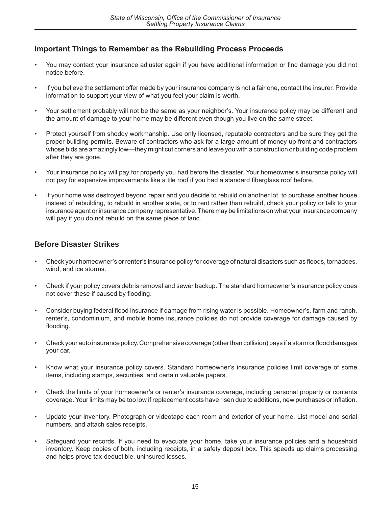# **Important Things to Remember as the Rebuilding Process Proceeds**

- You may contact your insurance adjuster again if you have additional information or find damage you did not notice before.
- If you believe the settlement offer made by your insurance company is not a fair one, contact the insurer. Provide information to support your view of what you feel your claim is worth.
- Your settlement probably will not be the same as your neighbor's. Your insurance policy may be different and the amount of damage to your home may be different even though you live on the same street.
- Protect yourself from shoddy workmanship. Use only licensed, reputable contractors and be sure they get the proper building permits. Beware of contractors who ask for a large amount of money up front and contractors whose bids are amazingly low—they might cut corners and leave you with a construction or building code problem after they are gone.
- Your insurance policy will pay for property you had before the disaster. Your homeowner's insurance policy will not pay for expensive improvements like a tile roof if you had a standard fiberglass roof before.
- If your home was destroyed beyond repair and you decide to rebuild on another lot, to purchase another house instead of rebuilding, to rebuild in another state, or to rent rather than rebuild, check your policy or talk to your insurance agent or insurance company representative. There may be limitations on what your insurance company will pay if you do not rebuild on the same piece of land.

# **Before Disaster Strikes**

- Check your homeowner's or renter's insurance policy for coverage of natural disasters such as floods, tornadoes, wind, and ice storms.
- Check if your policy covers debris removal and sewer backup. The standard homeowner's insurance policy does not cover these if caused by flooding.
- Consider buying federal flood insurance if damage from rising water is possible. Homeowner's, farm and ranch, renter's, condominium, and mobile home insurance policies do not provide coverage for damage caused by flooding.
- Check your auto insurance policy. Comprehensive coverage (other than collision) pays if a storm or flood damages your car.
- Know what your insurance policy covers. Standard homeowner's insurance policies limit coverage of some items, including stamps, securities, and certain valuable papers.
- Check the limits of your homeowner's or renter's insurance coverage, including personal property or contents coverage. Your limits may be too low if replacement costs have risen due to additions, new purchases or inflation.
- Update your inventory. Photograph or videotape each room and exterior of your home. List model and serial numbers, and attach sales receipts.
- Safeguard your records. If you need to evacuate your home, take your insurance policies and a household inventory. Keep copies of both, including receipts, in a safety deposit box. This speeds up claims processing and helps prove tax-deductible, uninsured losses.